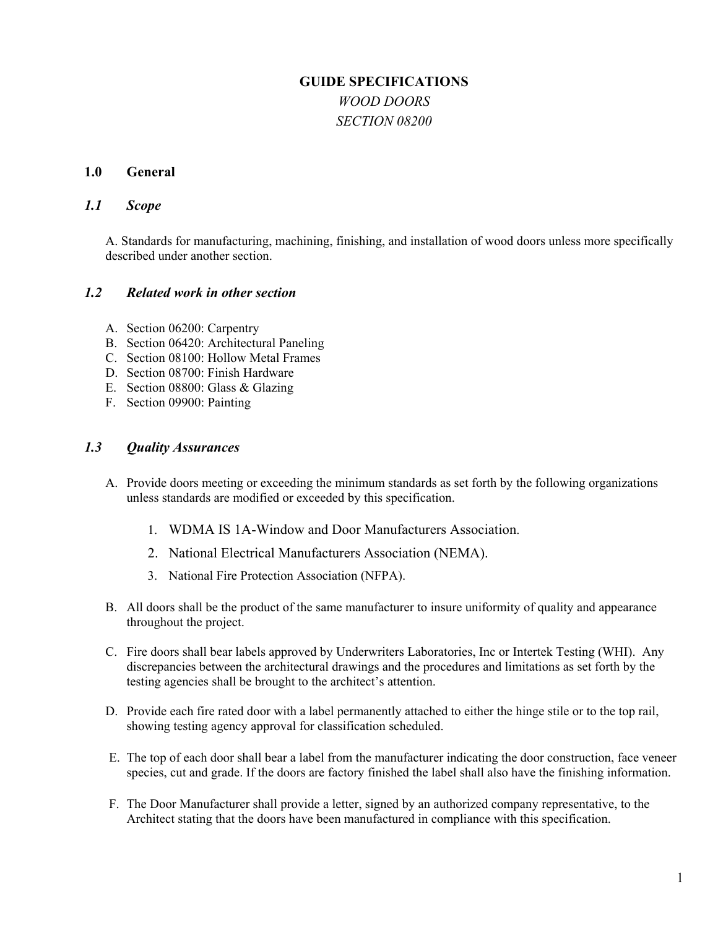# **GUIDE SPECIFICATIONS**  *WOOD DOORS SECTION 08200*

### **1.0 General**

### *1.1 Scope*

A. Standards for manufacturing, machining, finishing, and installation of wood doors unless more specifically described under another section.

# *1.2 Related work in other section*

- A. Section 06200: Carpentry
- B. Section 06420: Architectural Paneling
- C. Section 08100: Hollow Metal Frames
- D. Section 08700: Finish Hardware
- E. Section 08800: Glass & Glazing
- F. Section 09900: Painting

## *1.3 Quality Assurances*

- A. Provide doors meeting or exceeding the minimum standards as set forth by the following organizations unless standards are modified or exceeded by this specification.
	- 1. WDMA IS 1A-Window and Door Manufacturers Association.
	- 2. National Electrical Manufacturers Association (NEMA).
	- 3. National Fire Protection Association (NFPA).
- B. All doors shall be the product of the same manufacturer to insure uniformity of quality and appearance throughout the project.
- C. Fire doors shall bear labels approved by Underwriters Laboratories, Inc or Intertek Testing (WHI). Any discrepancies between the architectural drawings and the procedures and limitations as set forth by the testing agencies shall be brought to the architect's attention.
- D. Provide each fire rated door with a label permanently attached to either the hinge stile or to the top rail, showing testing agency approval for classification scheduled.
- E. The top of each door shall bear a label from the manufacturer indicating the door construction, face veneer species, cut and grade. If the doors are factory finished the label shall also have the finishing information.
- F. The Door Manufacturer shall provide a letter, signed by an authorized company representative, to the Architect stating that the doors have been manufactured in compliance with this specification.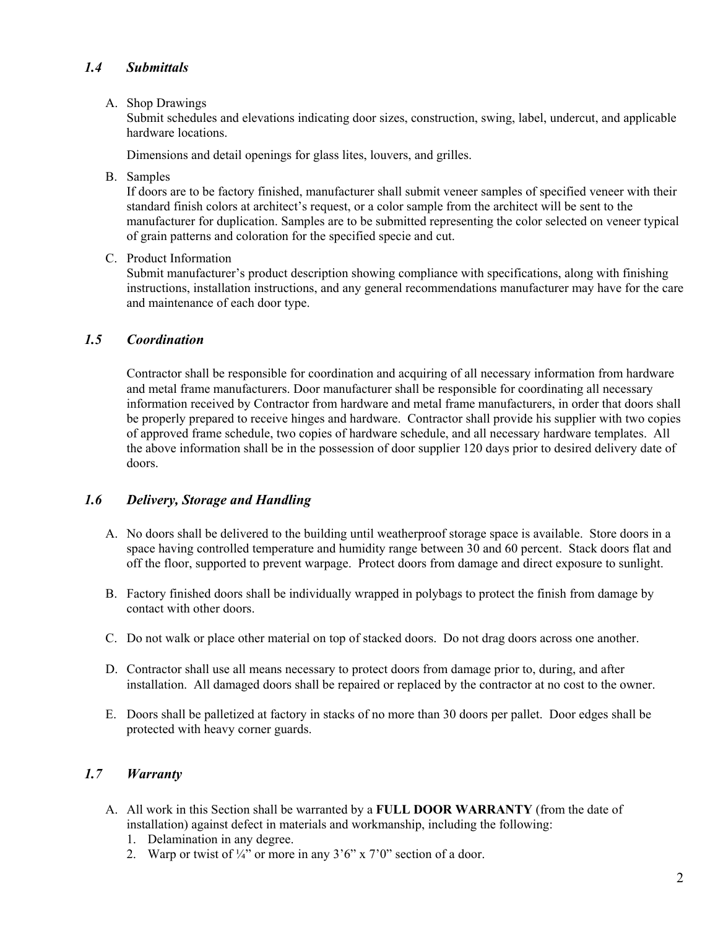# *1.4 Submittals*

### A. Shop Drawings

Submit schedules and elevations indicating door sizes, construction, swing, label, undercut, and applicable hardware locations.

Dimensions and detail openings for glass lites, louvers, and grilles.

B. Samples

If doors are to be factory finished, manufacturer shall submit veneer samples of specified veneer with their standard finish colors at architect's request, or a color sample from the architect will be sent to the manufacturer for duplication. Samples are to be submitted representing the color selected on veneer typical of grain patterns and coloration for the specified specie and cut.

C. Product Information

Submit manufacturer's product description showing compliance with specifications, along with finishing instructions, installation instructions, and any general recommendations manufacturer may have for the care and maintenance of each door type.

# *1.5 Coordination*

Contractor shall be responsible for coordination and acquiring of all necessary information from hardware and metal frame manufacturers. Door manufacturer shall be responsible for coordinating all necessary information received by Contractor from hardware and metal frame manufacturers, in order that doors shall be properly prepared to receive hinges and hardware. Contractor shall provide his supplier with two copies of approved frame schedule, two copies of hardware schedule, and all necessary hardware templates. All the above information shall be in the possession of door supplier 120 days prior to desired delivery date of doors.

# *1.6 Delivery, Storage and Handling*

- A. No doors shall be delivered to the building until weatherproof storage space is available. Store doors in a space having controlled temperature and humidity range between 30 and 60 percent. Stack doors flat and off the floor, supported to prevent warpage. Protect doors from damage and direct exposure to sunlight.
- B. Factory finished doors shall be individually wrapped in polybags to protect the finish from damage by contact with other doors.
- C. Do not walk or place other material on top of stacked doors. Do not drag doors across one another.
- D. Contractor shall use all means necessary to protect doors from damage prior to, during, and after installation. All damaged doors shall be repaired or replaced by the contractor at no cost to the owner.
- E. Doors shall be palletized at factory in stacks of no more than 30 doors per pallet. Door edges shall be protected with heavy corner guards.

# *1.7 Warranty*

- A. All work in this Section shall be warranted by a **FULL DOOR WARRANTY** (from the date of installation) against defect in materials and workmanship, including the following:
	- 1. Delamination in any degree.
	- 2. Warp or twist of  $\frac{1}{4}$ " or more in any 3'6" x 7'0" section of a door.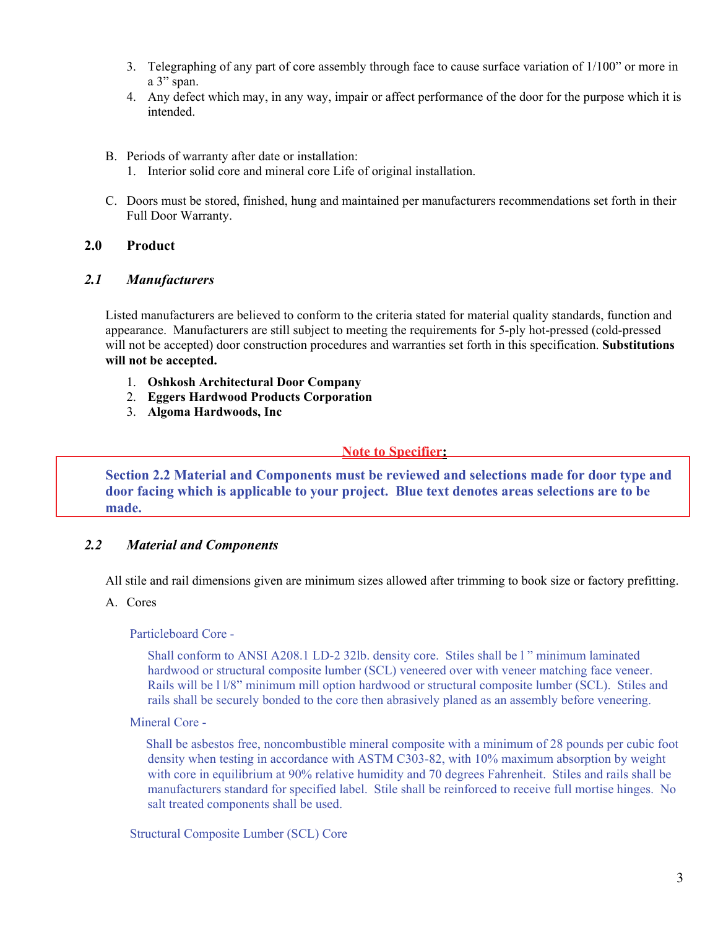- 3. Telegraphing of any part of core assembly through face to cause surface variation of 1/100" or more in a 3" span.
- 4. Any defect which may, in any way, impair or affect performance of the door for the purpose which it is intended.
- B. Periods of warranty after date or installation:
	- 1. Interior solid core and mineral core Life of original installation.
- C. Doors must be stored, finished, hung and maintained per manufacturers recommendations set forth in their Full Door Warranty.

# **2.0 Product**

# *2.1 Manufacturers*

Listed manufacturers are believed to conform to the criteria stated for material quality standards, function and appearance. Manufacturers are still subject to meeting the requirements for 5-ply hot-pressed (cold-pressed will not be accepted) door construction procedures and warranties set forth in this specification. **Substitutions will not be accepted.**

- 1. **Oshkosh Architectural Door Company**
- 2. **Eggers Hardwood Products Corporation**
- 3. **Algoma Hardwoods, Inc**

### **Note to Specifier:**

**Section 2.2 Material and Components must be reviewed and selections made for door type and door facing which is applicable to your project. Blue text denotes areas selections are to be made.**

# *2.2 Material and Components*

All stile and rail dimensions given are minimum sizes allowed after trimming to book size or factory prefitting.

# A. Cores

Particleboard Core -

Shall conform to ANSI A208.1 LD-2 32lb. density core. Stiles shall be l " minimum laminated hardwood or structural composite lumber (SCL) veneered over with veneer matching face veneer. Rails will be l l/8" minimum mill option hardwood or structural composite lumber (SCL). Stiles and rails shall be securely bonded to the core then abrasively planed as an assembly before veneering.

### Mineral Core -

 Shall be asbestos free, noncombustible mineral composite with a minimum of 28 pounds per cubic foot density when testing in accordance with ASTM C303-82, with 10% maximum absorption by weight with core in equilibrium at 90% relative humidity and 70 degrees Fahrenheit. Stiles and rails shall be manufacturers standard for specified label. Stile shall be reinforced to receive full mortise hinges. No salt treated components shall be used.

Structural Composite Lumber (SCL) Core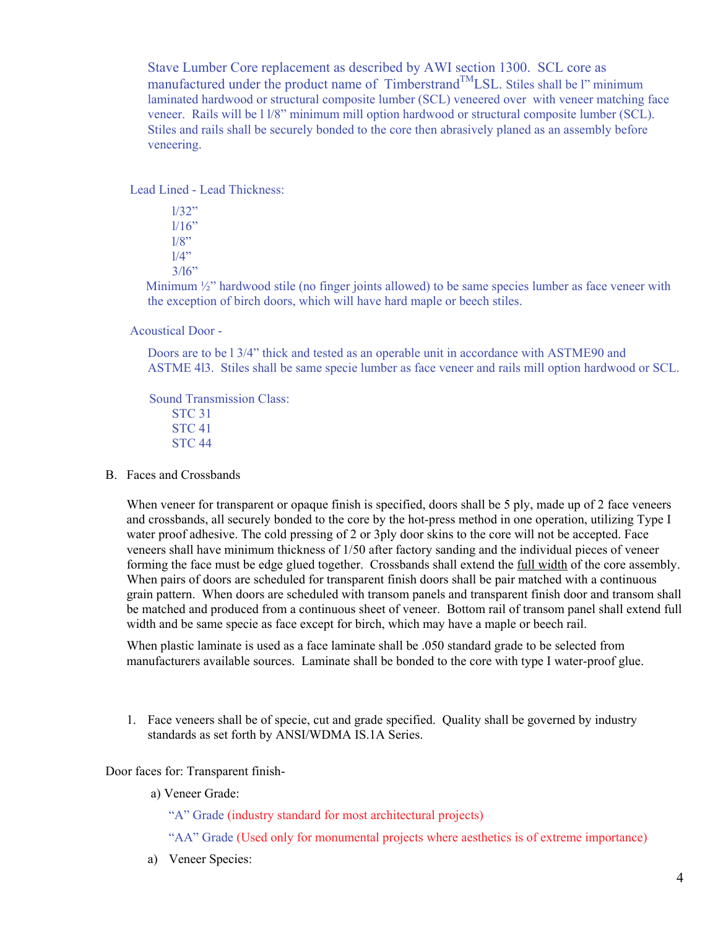Stave Lumber Core replacement as described by AWI section 1300. SCL core as manufactured under the product name of  $T$ imberstrand $^{TM}$ LSL. Stiles shall be l" minimum laminated hardwood or structural composite lumber (SCL) veneered over with veneer matching face veneer. Rails will be l l/8" minimum mill option hardwood or structural composite lumber (SCL). Stiles and rails shall be securely bonded to the core then abrasively planed as an assembly before veneering.

Lead Lined - Lead Thickness:

 l/32"  $1/16"$  $1/8"$  $1/4"$  $3/16$ "

Minimum  $\frac{1}{2}$ " hardwood stile (no finger joints allowed) to be same species lumber as face veneer with the exception of birch doors, which will have hard maple or beech stiles.

Acoustical Door -

Doors are to be l 3/4" thick and tested as an operable unit in accordance with ASTME90 and ASTME 4l3. Stiles shall be same specie lumber as face veneer and rails mill option hardwood or SCL.

 Sound Transmission Class: STC 31 STC 41 STC 44

B. Faces and Crossbands

When veneer for transparent or opaque finish is specified, doors shall be 5 ply, made up of 2 face veneers and crossbands, all securely bonded to the core by the hot-press method in one operation, utilizing Type I water proof adhesive. The cold pressing of 2 or 3ply door skins to the core will not be accepted. Face veneers shall have minimum thickness of 1/50 after factory sanding and the individual pieces of veneer forming the face must be edge glued together. Crossbands shall extend the full width of the core assembly. When pairs of doors are scheduled for transparent finish doors shall be pair matched with a continuous grain pattern. When doors are scheduled with transom panels and transparent finish door and transom shall be matched and produced from a continuous sheet of veneer. Bottom rail of transom panel shall extend full width and be same specie as face except for birch, which may have a maple or beech rail.

When plastic laminate is used as a face laminate shall be .050 standard grade to be selected from manufacturers available sources. Laminate shall be bonded to the core with type I water-proof glue.

1. Face veneers shall be of specie, cut and grade specified. Quality shall be governed by industry standards as set forth by ANSI/WDMA IS.1A Series.

Door faces for: Transparent finish-

a) Veneer Grade:

"A" Grade (industry standard for most architectural projects)

"AA" Grade (Used only for monumental projects where aesthetics is of extreme importance)

a) Veneer Species: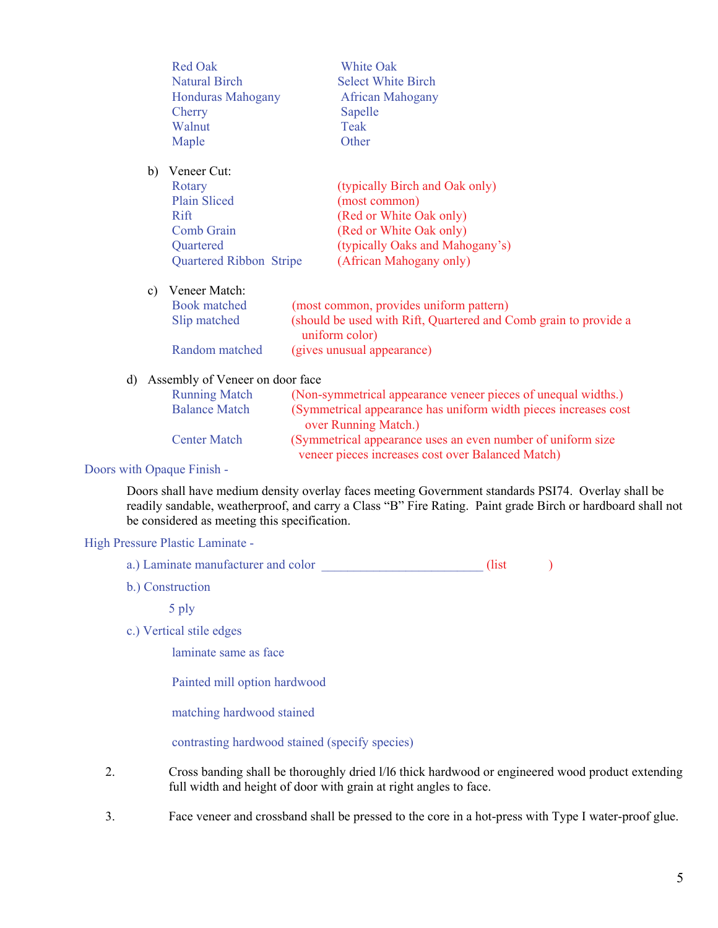|    |              | <b>Red Oak</b>                  |  | White Oak                                                                          |  |
|----|--------------|---------------------------------|--|------------------------------------------------------------------------------------|--|
|    |              | <b>Natural Birch</b>            |  | <b>Select White Birch</b>                                                          |  |
|    |              | <b>Honduras Mahogany</b>        |  | <b>African Mahogany</b>                                                            |  |
|    |              | Cherry                          |  | Sapelle                                                                            |  |
|    |              | Walnut                          |  | Teak                                                                               |  |
|    |              | Maple                           |  | Other                                                                              |  |
|    | b)           | Veneer Cut:                     |  |                                                                                    |  |
|    |              | Rotary                          |  | (typically Birch and Oak only)                                                     |  |
|    |              | <b>Plain Sliced</b>             |  | (most common)                                                                      |  |
|    |              | Rift                            |  | (Red or White Oak only)                                                            |  |
|    |              | Comb Grain                      |  | (Red or White Oak only)                                                            |  |
|    |              | Quartered                       |  | (typically Oaks and Mahogany's)                                                    |  |
|    |              | <b>Quartered Ribbon Stripe</b>  |  | (African Mahogany only)                                                            |  |
|    | c)           | Veneer Match:                   |  |                                                                                    |  |
|    |              | <b>Book matched</b>             |  | (most common, provides uniform pattern)                                            |  |
|    | Slip matched |                                 |  | (should be used with Rift, Quartered and Comb grain to provide a<br>uniform color) |  |
|    |              | Random matched                  |  | (gives unusual appearance)                                                         |  |
| d) |              | Assembly of Veneer on door face |  |                                                                                    |  |
|    |              |                                 |  |                                                                                    |  |

| <b>Running Match</b> | (Non-symmetrical appearance veneer pieces of unequal widths.)   |
|----------------------|-----------------------------------------------------------------|
| <b>Balance Match</b> | (Symmetrical appearance has uniform width pieces increases cost |
|                      | over Running Match.)                                            |
| <b>Center Match</b>  | (Symmetrical appearance uses an even number of uniform size)    |
|                      | veneer pieces increases cost over Balanced Match)               |

#### Doors with Opaque Finish -

Doors shall have medium density overlay faces meeting Government standards PSI74. Overlay shall be readily sandable, weatherproof, and carry a Class "B" Fire Rating. Paint grade Birch or hardboard shall not be considered as meeting this specification.

#### High Pressure Plastic Laminate -

- a.) Laminate manufacturer and color \_\_\_\_\_\_\_\_\_\_\_\_\_\_\_\_\_\_\_\_\_\_\_\_\_\_\_\_\_\_\_\_(list )
- b.) Construction

#### 5 ply

c.) Vertical stile edges

laminate same as face

Painted mill option hardwood

matching hardwood stained

contrasting hardwood stained (specify species)

- 2. Cross banding shall be thoroughly dried l/l6 thick hardwood or engineered wood product extending full width and height of door with grain at right angles to face.
- 3. Face veneer and crossband shall be pressed to the core in a hot-press with Type I water-proof glue.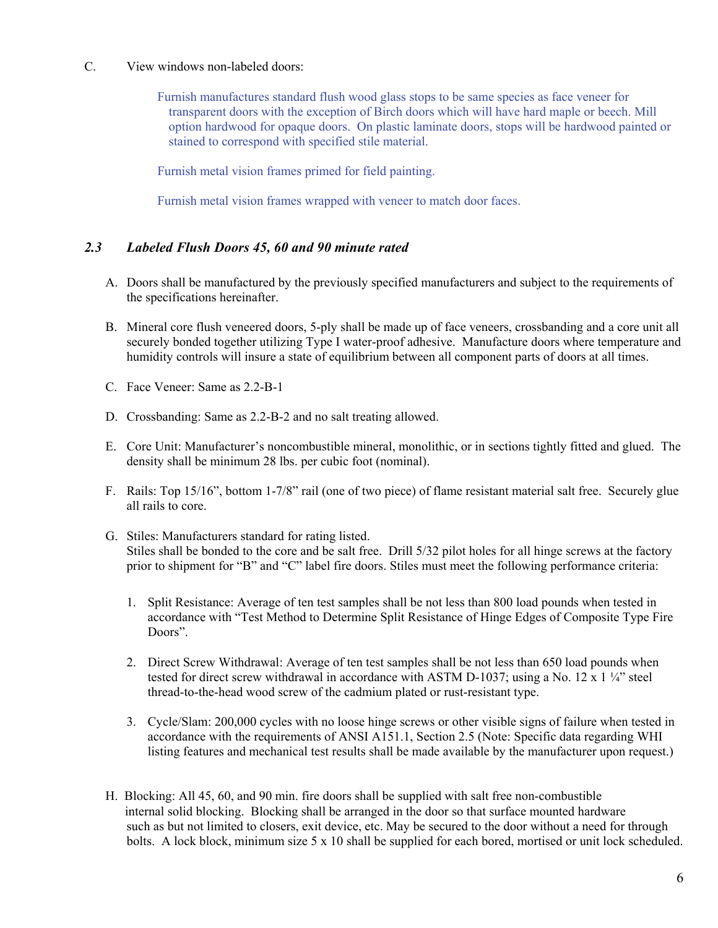C. View windows non-labeled doors:

 Furnish manufactures standard flush wood glass stops to be same species as face veneer for transparent doors with the exception of Birch doors which will have hard maple or beech. Mill option hardwood for opaque doors. On plastic laminate doors, stops will be hardwood painted or stained to correspond with specified stile material.

Furnish metal vision frames primed for field painting.

Furnish metal vision frames wrapped with veneer to match door faces.

# *2.3 Labeled Flush Doors 45, 60 and 90 minute rated*

- A. Doors shall be manufactured by the previously specified manufacturers and subject to the requirements of the specifications hereinafter.
- B. Mineral core flush veneered doors, 5-ply shall be made up of face veneers, crossbanding and a core unit all securely bonded together utilizing Type I water-proof adhesive. Manufacture doors where temperature and humidity controls will insure a state of equilibrium between all component parts of doors at all times.
- C. Face Veneer: Same as 2.2-B-1
- D. Crossbanding: Same as 2.2-B-2 and no salt treating allowed.
- E. Core Unit: Manufacturer's noncombustible mineral, monolithic, or in sections tightly fitted and glued. The density shall be minimum 28 lbs. per cubic foot (nominal).
- F. Rails: Top 15/16", bottom 1-7/8" rail (one of two piece) of flame resistant material salt free. Securely glue all rails to core.
- G. Stiles: Manufacturers standard for rating listed. Stiles shall be bonded to the core and be salt free. Drill 5/32 pilot holes for all hinge screws at the factory prior to shipment for "B" and "C" label fire doors. Stiles must meet the following performance criteria:
	- 1. Split Resistance: Average of ten test samples shall be not less than 800 load pounds when tested in accordance with "Test Method to Determine Split Resistance of Hinge Edges of Composite Type Fire Doors".
	- 2. Direct Screw Withdrawal: Average of ten test samples shall be not less than 650 load pounds when tested for direct screw withdrawal in accordance with ASTM D-1037; using a No. 12 x 1  $\frac{1}{4}$  steel thread-to-the-head wood screw of the cadmium plated or rust-resistant type.
	- 3. Cycle/Slam: 200,000 cycles with no loose hinge screws or other visible signs of failure when tested in accordance with the requirements of ANSI A151.1, Section 2.5 (Note: Specific data regarding WHI listing features and mechanical test results shall be made available by the manufacturer upon request.)
- H. Blocking: All 45, 60, and 90 min. fire doors shall be supplied with salt free non-combustible internal solid blocking. Blocking shall be arranged in the door so that surface mounted hardware such as but not limited to closers, exit device, etc. May be secured to the door without a need for through bolts. A lock block, minimum size 5 x 10 shall be supplied for each bored, mortised or unit lock scheduled.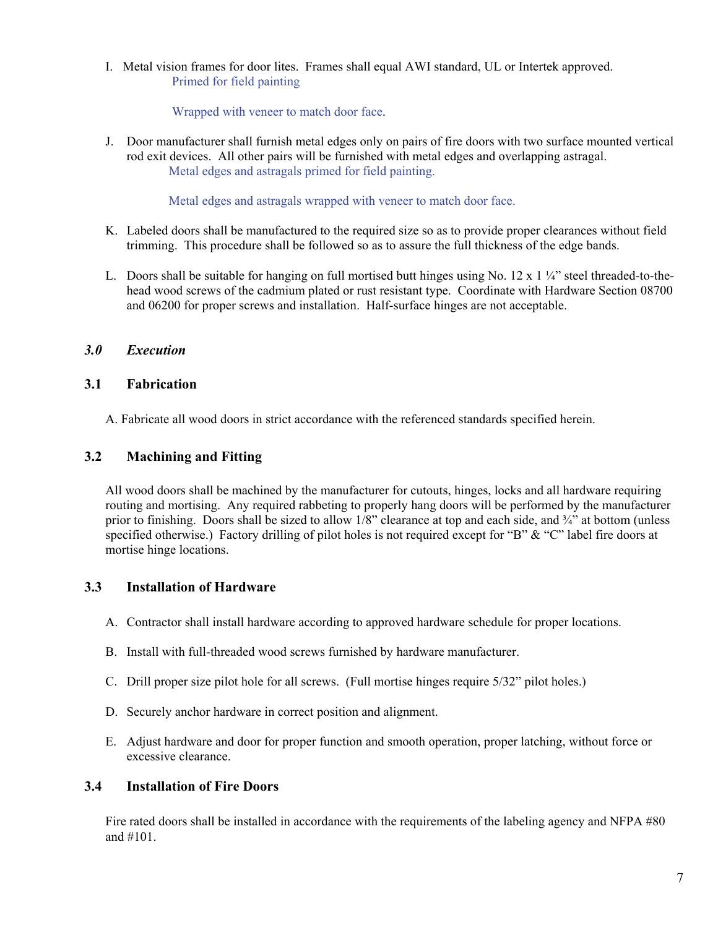I. Metal vision frames for door lites. Frames shall equal AWI standard, UL or Intertek approved. Primed for field painting

Wrapped with veneer to match door face.

J. Door manufacturer shall furnish metal edges only on pairs of fire doors with two surface mounted vertical rod exit devices. All other pairs will be furnished with metal edges and overlapping astragal. Metal edges and astragals primed for field painting.

Metal edges and astragals wrapped with veneer to match door face.

- K. Labeled doors shall be manufactured to the required size so as to provide proper clearances without field trimming. This procedure shall be followed so as to assure the full thickness of the edge bands.
- L. Doors shall be suitable for hanging on full mortised butt hinges using No. 12 x 1  $\frac{1}{4}$  steel threaded-to-thehead wood screws of the cadmium plated or rust resistant type. Coordinate with Hardware Section 08700 and 06200 for proper screws and installation. Half-surface hinges are not acceptable.

# *3.0 Execution*

# **3.1 Fabrication**

A. Fabricate all wood doors in strict accordance with the referenced standards specified herein.

# **3.2 Machining and Fitting**

All wood doors shall be machined by the manufacturer for cutouts, hinges, locks and all hardware requiring routing and mortising. Any required rabbeting to properly hang doors will be performed by the manufacturer prior to finishing. Doors shall be sized to allow 1/8" clearance at top and each side, and <sup>3</sup>/4" at bottom (unless specified otherwise.) Factory drilling of pilot holes is not required except for "B" & "C" label fire doors at mortise hinge locations.

# **3.3 Installation of Hardware**

- A. Contractor shall install hardware according to approved hardware schedule for proper locations.
- B. Install with full-threaded wood screws furnished by hardware manufacturer.
- C. Drill proper size pilot hole for all screws. (Full mortise hinges require 5/32" pilot holes.)
- D. Securely anchor hardware in correct position and alignment.
- E. Adjust hardware and door for proper function and smooth operation, proper latching, without force or excessive clearance.

# **3.4 Installation of Fire Doors**

Fire rated doors shall be installed in accordance with the requirements of the labeling agency and NFPA #80 and #101.